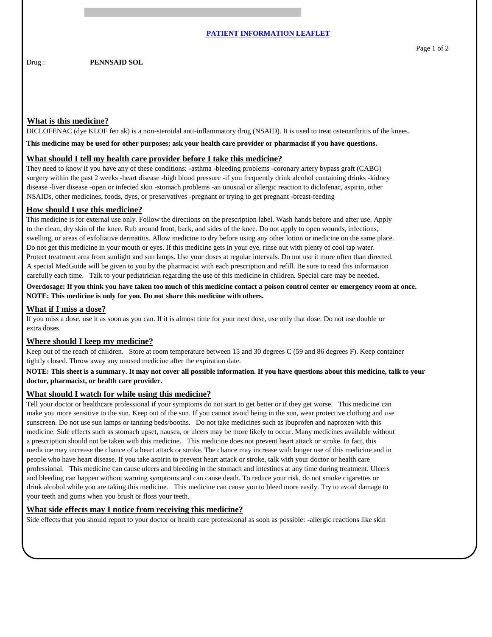Drug : **PENNSAID SOL** 

## **What is this medicine?**

DICLOFENAC (dye KLOE fen ak) is a non-steroidal anti-inflammatory drug (NSAID). It is used to treat osteoarthritis of the knees.

**This medicine may be used for other purposes; ask your health care provider or pharmacist if you have questions.**

# **What should I tell my health care provider before I take this medicine?**

They need to know if you have any of these conditions: -asthma -bleeding problems -coronary artery bypass graft (CABG) surgery within the past 2 weeks -heart disease -high blood pressure -if you frequently drink alcohol containing drinks -kidney disease -liver disease -open or infected skin -stomach problems -an unusual or allergic reaction to diclofenac, aspirin, other NSAIDs, other medicines, foods, dyes, or preservatives -pregnant or trying to get pregnant -breast-feeding

#### **How should I use this medicine?**

This medicine is for external use only. Follow the directions on the prescription label. Wash hands before and after use. Apply to the clean, dry skin of the knee. Rub around front, back, and sides of the knee. Do not apply to open wounds, infections, swelling, or areas of exfoliative dermatitis. Allow medicine to dry before using any other lotion or medicine on the same place. Do not get this medicine in your mouth or eyes. If this medicine gets in your eye, rinse out with plenty of cool tap water. Protect treatment area from sunlight and sun lamps. Use your doses at regular intervals. Do not use it more often than directed. A special MedGuide will be given to you by the pharmacist with each prescription and refill. Be sure to read this information carefully each time. Talk to your pediatrician regarding the use of this medicine in children. Special care may be needed.

**Overdosage: If you think you have taken too much of this medicine contact a poison control center or emergency room at once. NOTE: This medicine is only for you. Do not share this medicine with others.**

## **What if I miss a dose?**

If you miss a dose, use it as soon as you can. If it is almost time for your next dose, use only that dose. Do not use double or extra doses.

#### **Where should I keep my medicine?**

Keep out of the reach of children. Store at room temperature between 15 and 30 degrees C (59 and 86 degrees F). Keep container tightly closed. Throw away any unused medicine after the expiration date.

### **NOTE: This sheet is a summary. It may not cover all possible information. If you have questions about this medicine, talk to your doctor, pharmacist, or health care provider.**

## **What should I watch for while using this medicine?**

Tell your doctor or healthcare professional if your symptoms do not start to get better or if they get worse. This medicine can make you more sensitive to the sun. Keep out of the sun. If you cannot avoid being in the sun, wear protective clothing and use sunscreen. Do not use sun lamps or tanning beds/booths. Do not take medicines such as ibuprofen and naproxen with this medicine. Side effects such as stomach upset, nausea, or ulcers may be more likely to occur. Many medicines available without a prescription should not be taken with this medicine. This medicine does not prevent heart attack or stroke. In fact, this medicine may increase the chance of a heart attack or stroke. The chance may increase with longer use of this medicine and in people who have heart disease. If you take aspirin to prevent heart attack or stroke, talk with your doctor or health care professional. This medicine can cause ulcers and bleeding in the stomach and intestines at any time during treatment. Ulcers and bleeding can happen without warning symptoms and can cause death. To reduce your risk, do not smoke cigarettes or drink alcohol while you are taking this medicine. This medicine can cause you to bleed more easily. Try to avoid damage to your teeth and gums when you brush or floss your teeth.

#### **What side effects may I notice from receiving this medicine?**

Side effects that you should report to your doctor or health care professional as soon as possible: -allergic reactions like skin